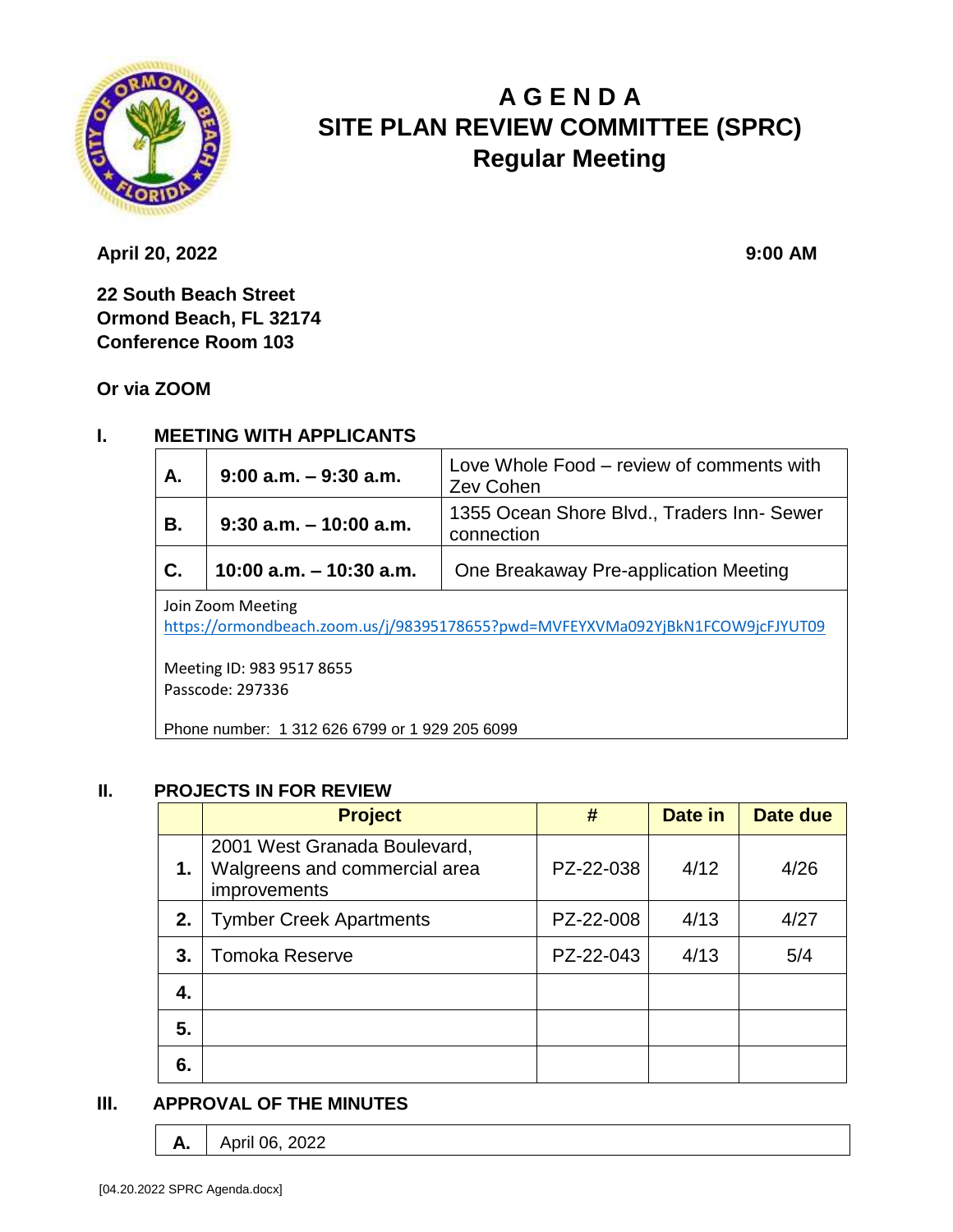

# **A G E N D A SITE PLAN REVIEW COMMITTEE (SPRC) Regular Meeting**

**April 20, 2022 9:00 AM** 

**22 South Beach Street Ormond Beach, FL 32174 Conference Room 103**

**Or via ZOOM**

#### **I. MEETING WITH APPLICANTS**

| A.                | $9:00$ a.m. $-9:30$ a.m.  | Love Whole Food - review of comments with<br>Zev Cohen   |  |  |
|-------------------|---------------------------|----------------------------------------------------------|--|--|
| В.                | $9:30$ a.m. $-10:00$ a.m. | 1355 Ocean Shore Blvd., Traders Inn- Sewer<br>connection |  |  |
| $\mathbf{C}$ .    | 10:00 a.m. $-$ 10:30 a.m. | One Breakaway Pre-application Meeting                    |  |  |
| Join Zoom Meeting |                           |                                                          |  |  |

<https://ormondbeach.zoom.us/j/98395178655?pwd=MVFEYXVMa092YjBkN1FCOW9jcFJYUT09>

Meeting ID: 983 9517 8655 Passcode: 297336

Phone number: 1 312 626 6799 or 1 929 205 6099

#### **II. PROJECTS IN FOR REVIEW**

|    | <b>Project</b>                                                                | #         | Date in | Date due |
|----|-------------------------------------------------------------------------------|-----------|---------|----------|
| 1. | 2001 West Granada Boulevard,<br>Walgreens and commercial area<br>improvements | PZ-22-038 | 4/12    | 4/26     |
| 2. | <b>Tymber Creek Apartments</b>                                                | PZ-22-008 | 4/13    | 4/27     |
| 3. | <b>Tomoka Reserve</b>                                                         | PZ-22-043 | 4/13    | 5/4      |
| 4. |                                                                               |           |         |          |
| 5. |                                                                               |           |         |          |
| 6. |                                                                               |           |         |          |

# **III. APPROVAL OF THE MINUTES**

**A.** | April 06, 2022